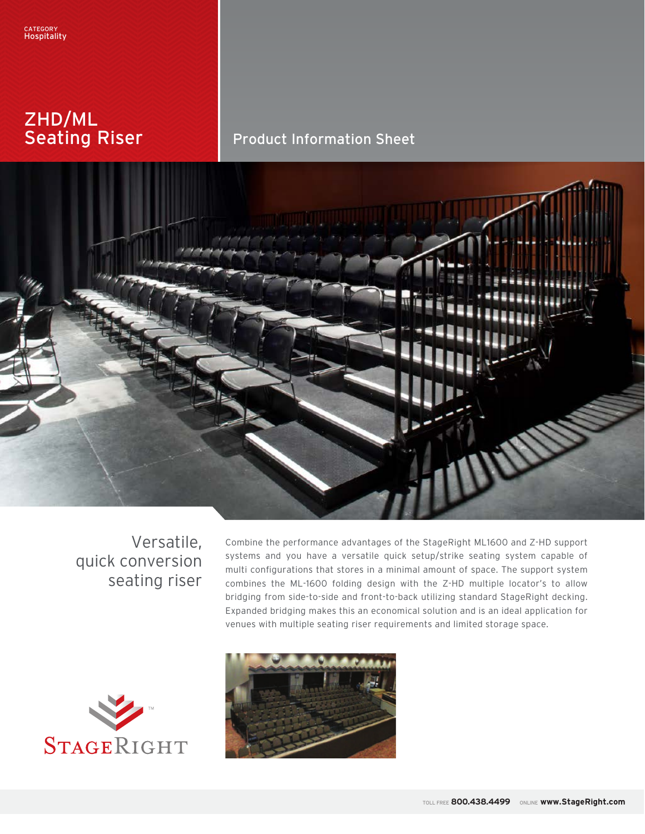# ZHD/ML Seating Riser

# Product Information Sheet



# Versatile, quick conversion seating riser

Combine the performance advantages of the StageRight ML1600 and Z-HD support systems and you have a versatile quick setup/strike seating system capable of multi configurations that stores in a minimal amount of space. The support system combines the ML-1600 folding design with the Z-HD multiple locator's to allow bridging from side-to-side and front-to-back utilizing standard StageRight decking. Expanded bridging makes this an economical solution and is an ideal application for venues with multiple seating riser requirements and limited storage space.